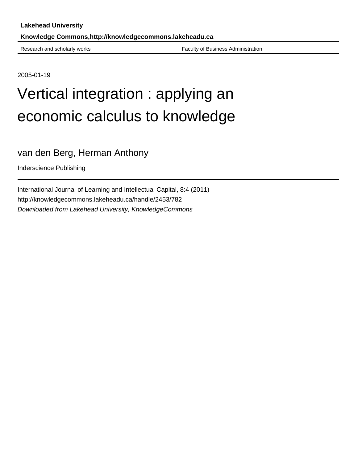Research and scholarly works Faculty of Business Administration

2005-01-19

# Vertical integration : applying an economic calculus to knowledge

## van den Berg, Herman Anthony

Inderscience Publishing

International Journal of Learning and Intellectual Capital, 8:4 (2011) http://knowledgecommons.lakeheadu.ca/handle/2453/782 Downloaded from Lakehead University, KnowledgeCommons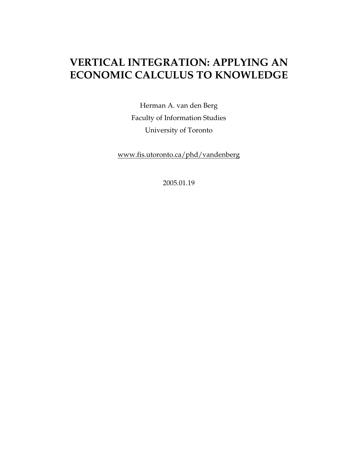# **VERTICAL INTEGRATION: APPLYING AN ECONOMIC CALCULUS TO KNOWLEDGE**

Herman A. van den Berg Faculty of Information Studies University of Toronto

www.fis.utoronto.ca/phd/vandenberg

2005.01.19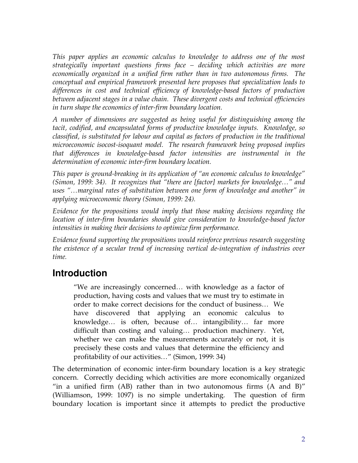*This paper applies an economic calculus to knowledge to address one of the most strategically important questions firms face – deciding which activities are more economically organized in a unified firm rather than in two autonomous firms. The conceptual and empirical framework presented here proposes that specialization leads to differences in cost and technical efficiency of knowledge-based factors of production between adjacent stages in a value chain. These divergent costs and technical efficiencies in turn shape the economics of inter-firm boundary location.* 

*A number of dimensions are suggested as being useful for distinguishing among the tacit, codified, and encapsulated forms of productive knowledge inputs. Knowledge, so classified, is substituted for labour and capital as factors of production in the traditional microeconomic isocost-isoquant model. The research framework being proposed implies that differences in knowledge-based factor intensities are instrumental in the determination of economic inter-firm boundary location.* 

*This paper is ground-breaking in its application of "an economic calculus to knowledge" (Simon, 1999: 34). It recognizes that "there are [factor] markets for knowledge…" and uses "…marginal rates of substitution between one form of knowledge and another" in applying microeconomic theory (Simon, 1999: 24).* 

*Evidence for the propositions would imply that those making decisions regarding the location of inter-firm boundaries should give consideration to knowledge-based factor intensities in making their decisions to optimize firm performance.* 

*Evidence found supporting the propositions would reinforce previous research suggesting the existence of a secular trend of increasing vertical de-integration of industries over time.* 

## **Introduction**

"We are increasingly concerned… with knowledge as a factor of production, having costs and values that we must try to estimate in order to make correct decisions for the conduct of business… We have discovered that applying an economic calculus to knowledge… is often, because of… intangibility… far more difficult than costing and valuing… production machinery. Yet, whether we can make the measurements accurately or not, it is precisely these costs and values that determine the efficiency and profitability of our activities…" (Simon, 1999: 34)

The determination of economic inter-firm boundary location is a key strategic concern. Correctly deciding which activities are more economically organized "in a unified firm  $(AB)$  rather than in two autonomous firms  $(A \text{ and } B)$ " (Williamson, 1999: 1097) is no simple undertaking. The question of firm boundary location is important since it attempts to predict the productive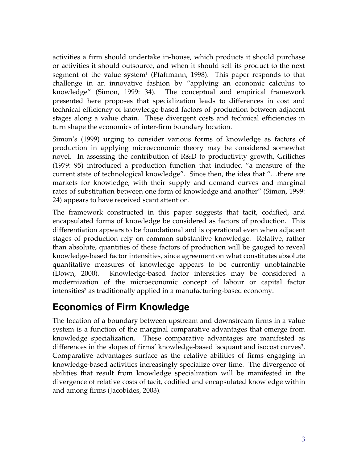activities a firm should undertake in-house, which products it should purchase or activities it should outsource, and when it should sell its product to the next segment of the value system<sup>1</sup> (Pfaffmann, 1998). This paper responds to that challenge in an innovative fashion by "applying an economic calculus to knowledge" (Simon, 1999: 34). The conceptual and empirical framework presented here proposes that specialization leads to differences in cost and technical efficiency of knowledge-based factors of production between adjacent stages along a value chain. These divergent costs and technical efficiencies in turn shape the economics of inter-firm boundary location.

Simon's (1999) urging to consider various forms of knowledge as factors of production in applying microeconomic theory may be considered somewhat novel. In assessing the contribution of R&D to productivity growth, Griliches (1979: 95) introduced a production function that included "a measure of the current state of technological knowledge". Since then, the idea that "…there are markets for knowledge, with their supply and demand curves and marginal rates of substitution between one form of knowledge and another" (Simon, 1999: 24) appears to have received scant attention.

The framework constructed in this paper suggests that tacit, codified, and encapsulated forms of knowledge be considered as factors of production. This differentiation appears to be foundational and is operational even when adjacent stages of production rely on common substantive knowledge. Relative, rather than absolute, quantities of these factors of production will be gauged to reveal knowledge-based factor intensities, since agreement on what constitutes absolute quantitative measures of knowledge appears to be currently unobtainable (Down, 2000). Knowledge-based factor intensities may be considered a modernization of the microeconomic concept of labour or capital factor intensities<sup>2</sup> as traditionally applied in a manufacturing-based economy.

## **Economics of Firm Knowledge**

The location of a boundary between upstream and downstream firms in a value system is a function of the marginal comparative advantages that emerge from knowledge specialization. These comparative advantages are manifested as differences in the slopes of firms' knowledge-based isoquant and isocost curves<sup>3</sup>. Comparative advantages surface as the relative abilities of firms engaging in knowledge-based activities increasingly specialize over time. The divergence of abilities that result from knowledge specialization will be manifested in the divergence of relative costs of tacit, codified and encapsulated knowledge within and among firms (Jacobides, 2003).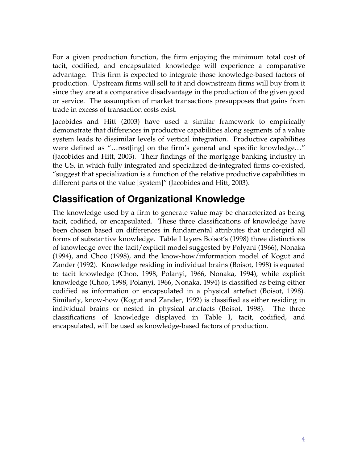For a given production function, the firm enjoying the minimum total cost of tacit, codified, and encapsulated knowledge will experience a comparative advantage. This firm is expected to integrate those knowledge-based factors of production. Upstream firms will sell to it and downstream firms will buy from it since they are at a comparative disadvantage in the production of the given good or service. The assumption of market transactions presupposes that gains from trade in excess of transaction costs exist.

Jacobides and Hitt (2003) have used a similar framework to empirically demonstrate that differences in productive capabilities along segments of a value system leads to dissimilar levels of vertical integration. Productive capabilities were defined as "…rest[ing] on the firm's general and specific knowledge…" (Jacobides and Hitt, 2003). Their findings of the mortgage banking industry in the US, in which fully integrated and specialized de-integrated firms co-existed, "suggest that specialization is a function of the relative productive capabilities in different parts of the value [system]" (Jacobides and Hitt, 2003).

## **Classification of Organizational Knowledge**

The knowledge used by a firm to generate value may be characterized as being tacit, codified, or encapsulated. These three classifications of knowledge have been chosen based on differences in fundamental attributes that undergird all forms of substantive knowledge. Table I layers Boisot's (1998) three distinctions of knowledge over the tacit/explicit model suggested by Polyani (1966), Nonaka (1994), and Choo (1998), and the know-how/information model of Kogut and Zander (1992). Knowledge residing in individual brains (Boisot, 1998) is equated to tacit knowledge (Choo, 1998, Polanyi, 1966, Nonaka, 1994), while explicit knowledge (Choo, 1998, Polanyi, 1966, Nonaka, 1994) is classified as being either codified as information or encapsulated in a physical artefact (Boisot, 1998). Similarly, know-how (Kogut and Zander, 1992) is classified as either residing in individual brains or nested in physical artefacts (Boisot, 1998). The three classifications of knowledge displayed in Table I, tacit, codified, and encapsulated, will be used as knowledge-based factors of production.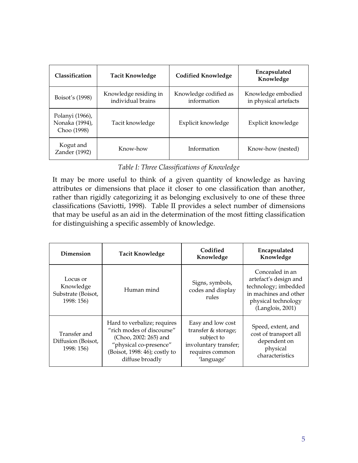| Classification                                   | <b>Tacit Knowledge</b>                     | <b>Codified Knowledge</b>            | Encapsulated<br>Knowledge                   |
|--------------------------------------------------|--------------------------------------------|--------------------------------------|---------------------------------------------|
| Boisot's (1998)                                  | Knowledge residing in<br>individual brains | Knowledge codified as<br>information | Knowledge embodied<br>in physical artefacts |
| Polanyi (1966),<br>Nonaka (1994),<br>Choo (1998) | Tacit knowledge                            | Explicit knowledge                   | Explicit knowledge                          |
| Kogut and<br>Zander (1992)                       | Know-how                                   | Information                          | Know-how (nested)                           |

#### *Table I: Three Classifications of Knowledge*

It may be more useful to think of a given quantity of knowledge as having attributes or dimensions that place it closer to one classification than another, rather than rigidly categorizing it as belonging exclusively to one of these three classifications (Saviotti, 1998). Table II provides a select number of dimensions that may be useful as an aid in the determination of the most fitting classification for distinguishing a specific assembly of knowledge.

| Dimension                                                 | <b>Tacit Knowledge</b>                                                                                                                                          | Codified<br>Knowledge                                                                                            | Encapsulated<br>Knowledge                                                                                                            |
|-----------------------------------------------------------|-----------------------------------------------------------------------------------------------------------------------------------------------------------------|------------------------------------------------------------------------------------------------------------------|--------------------------------------------------------------------------------------------------------------------------------------|
| Locus or<br>Knowledge<br>Substrate (Boisot,<br>1998: 156) | Human mind                                                                                                                                                      | Signs, symbols,<br>codes and display<br>rules                                                                    | Concealed in an<br>artefact's design and<br>technology; imbedded<br>in machines and other<br>physical technology<br>(Langlois, 2001) |
| Transfer and<br>Diffusion (Boisot,<br>1998: 156)          | Hard to verbalize; requires<br>"rich modes of discourse"<br>(Choo, 2002: 265) and<br>"physical co-presence"<br>(Boisot, 1998: 46); costly to<br>diffuse broadly | Easy and low cost<br>transfer & storage;<br>subject to<br>involuntary transfer;<br>requires common<br>'language' | Speed, extent, and<br>cost of transport all<br>dependent on<br>physical<br>characteristics                                           |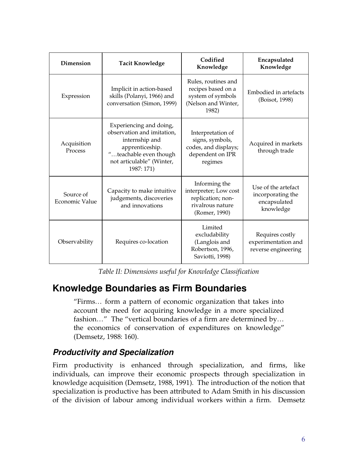| <b>Dimension</b>            | <b>Tacit Knowledge</b>                                                                                                                                          | Codified<br>Knowledge                                                                            | Encapsulated<br>Knowledge                                             |
|-----------------------------|-----------------------------------------------------------------------------------------------------------------------------------------------------------------|--------------------------------------------------------------------------------------------------|-----------------------------------------------------------------------|
| Expression                  | Implicit in action-based<br>skills (Polanyi, 1966) and<br>conversation (Simon, 1999)                                                                            | Rules, routines and<br>recipes based on a<br>system of symbols<br>(Nelson and Winter,<br>1982)   | Embodied in artefacts<br>(Boisot, 1998)                               |
| Acquisition<br>Process      | Experiencing and doing,<br>observation and imitation,<br>internship and<br>apprenticeship.<br>"teachable even though<br>not articulable" (Winter,<br>1987: 171) | Interpretation of<br>signs, symbols,<br>codes, and displays;<br>dependent on IPR<br>regimes      | Acquired in markets<br>through trade                                  |
| Source of<br>Economic Value | Capacity to make intuitive<br>judgements, discoveries<br>and innovations                                                                                        | Informing the<br>interpreter; Low cost<br>replication; non-<br>rivalrous nature<br>(Romer, 1990) | Use of the artefact<br>incorporating the<br>encapsulated<br>knowledge |
| Observability               | Requires co-location                                                                                                                                            | Limited<br>excludability<br>(Langlois and<br>Robertson, 1996,<br>Saviotti, 1998)                 | Requires costly<br>experimentation and<br>reverse engineering         |

*Table II: Dimensions useful for Knowledge Classification* 

## **Knowledge Boundaries as Firm Boundaries**

"Firms… form a pattern of economic organization that takes into account the need for acquiring knowledge in a more specialized fashion…" The "vertical boundaries of a firm are determined by… the economics of conservation of expenditures on knowledge" (Demsetz, 1988: 160).

## *Productivity and Specialization*

Firm productivity is enhanced through specialization, and firms, like individuals, can improve their economic prospects through specialization in knowledge acquisition (Demsetz, 1988, 1991). The introduction of the notion that specialization is productive has been attributed to Adam Smith in his discussion of the division of labour among individual workers within a firm. Demsetz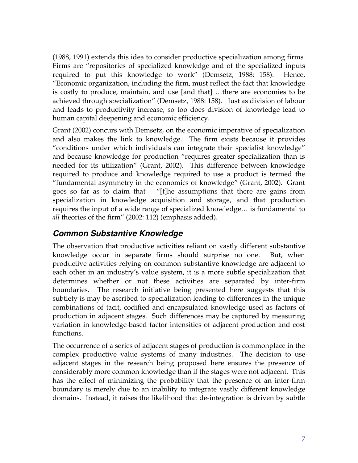(1988, 1991) extends this idea to consider productive specialization among firms. Firms are "repositories of specialized knowledge and of the specialized inputs required to put this knowledge to work" (Demsetz, 1988: 158). Hence, "Economic organization, including the firm, must reflect the fact that knowledge is costly to produce, maintain, and use [and that] …there are economies to be achieved through specialization" (Demsetz, 1988: 158). Just as division of labour and leads to productivity increase, so too does division of knowledge lead to human capital deepening and economic efficiency.

Grant (2002) concurs with Demsetz, on the economic imperative of specialization and also makes the link to knowledge. The firm exists because it provides "conditions under which individuals can integrate their specialist knowledge" and because knowledge for production "requires greater specialization than is needed for its utilization" (Grant, 2002). This difference between knowledge required to produce and knowledge required to use a product is termed the "fundamental asymmetry in the economics of knowledge" (Grant, 2002). Grant goes so far as to claim that "[t]he assumptions that there are gains from specialization in knowledge acquisition and storage, and that production requires the input of a wide range of specialized knowledge… is fundamental to *all* theories of the firm" (2002: 112) (emphasis added).

#### *Common Substantive Knowledge*

The observation that productive activities reliant on vastly different substantive knowledge occur in separate firms should surprise no one. But, when productive activities relying on common substantive knowledge are adjacent to each other in an industry's value system, it is a more subtle specialization that determines whether or not these activities are separated by inter-firm boundaries. The research initiative being presented here suggests that this subtlety is may be ascribed to specialization leading to differences in the unique combinations of tacit, codified and encapsulated knowledge used as factors of production in adjacent stages. Such differences may be captured by measuring variation in knowledge-based factor intensities of adjacent production and cost functions.

The occurrence of a series of adjacent stages of production is commonplace in the complex productive value systems of many industries. The decision to use adjacent stages in the research being proposed here ensures the presence of considerably more common knowledge than if the stages were not adjacent. This has the effect of minimizing the probability that the presence of an inter-firm boundary is merely due to an inability to integrate vastly different knowledge domains. Instead, it raises the likelihood that de-integration is driven by subtle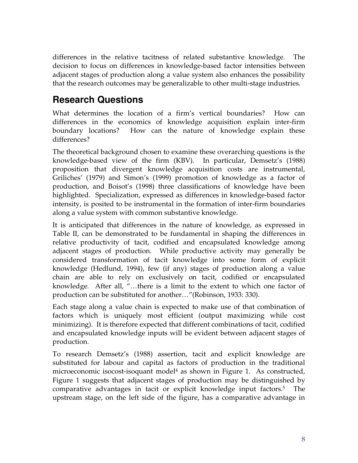differences in the relative tacitness of related substantive knowledge. The decision to focus on differences in knowledge-based factor intensities between adjacent stages of production along a value system also enhances the possibility that the research outcomes may be generalizable to other multi-stage industries.

## **Research Questions**

What determines the location of a firm's vertical boundaries? How can differences in the economics of knowledge acquisition explain inter-firm boundary locations? How can the nature of knowledge explain these differences?

The theoretical background chosen to examine these overarching questions is the knowledge-based view of the firm (KBV). In particular, Demsetz's (1988) proposition that divergent knowledge acquisition costs are instrumental, Griliches' (1979) and Simon's (1999) promotion of knowledge as a factor of production, and Boisot's (1998) three classifications of knowledge have been highlighted. Specialization, expressed as differences in knowledge-based factor intensity, is posited to be instrumental in the formation of inter-firm boundaries along a value system with common substantive knowledge.

It is anticipated that differences in the nature of knowledge, as expressed in Table II, can be demonstrated to be fundamental in shaping the differences in relative productivity of tacit, codified and encapsulated knowledge among adjacent stages of production. While productive activity may generally be considered transformation of tacit knowledge into some form of explicit knowledge (Hedlund, 1994), few (if any) stages of production along a value chain are able to rely on exclusively on tacit, codified or encapsulated knowledge. After all, "…there is a limit to the extent to which one factor of production can be substituted for another…"(Robinson, 1933: 330).

Each stage along a value chain is expected to make use of that combination of factors which is uniquely most efficient (output maximizing while cost minimizing). It is therefore expected that different combinations of tacit, codified and encapsulated knowledge inputs will be evident between adjacent stages of production.

To research Demsetz's (1988) assertion, tacit and explicit knowledge are substituted for labour and capital as factors of production in the traditional microeconomic isocost-isoquant model<sup>4</sup> as shown in Figure 1. As constructed, Figure 1 suggests that adjacent stages of production may be distinguished by comparative advantages in tacit or explicit knowledge input factors.<sup>5</sup> The upstream stage, on the left side of the figure, has a comparative advantage in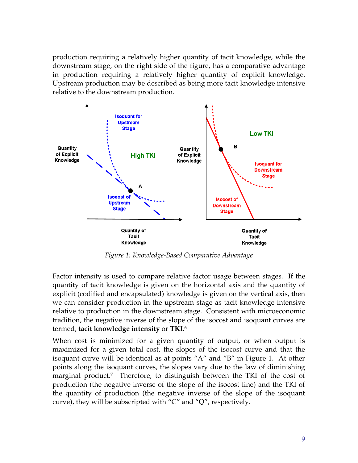production requiring a relatively higher quantity of tacit knowledge, while the downstream stage, on the right side of the figure, has a comparative advantage in production requiring a relatively higher quantity of explicit knowledge. Upstream production may be described as being more tacit knowledge intensive relative to the downstream production.



*Figure 1: Knowledge-Based Comparative Advantage* 

Factor intensity is used to compare relative factor usage between stages. If the quantity of tacit knowledge is given on the horizontal axis and the quantity of explicit (codified and encapsulated) knowledge is given on the vertical axis, then we can consider production in the upstream stage as tacit knowledge intensive relative to production in the downstream stage. Consistent with microeconomic tradition, the negative inverse of the slope of the isocost and isoquant curves are termed, **tacit knowledge intensity** or **TKI**. 6

When cost is minimized for a given quantity of output, or when output is maximized for a given total cost, the slopes of the isocost curve and that the isoquant curve will be identical as at points "A" and "B" in Figure 1. At other points along the isoquant curves, the slopes vary due to the law of diminishing marginal product.<sup>7</sup> Therefore, to distinguish between the TKI of the cost of production (the negative inverse of the slope of the isocost line) and the TKI of the quantity of production (the negative inverse of the slope of the isoquant curve), they will be subscripted with "C" and "Q", respectively.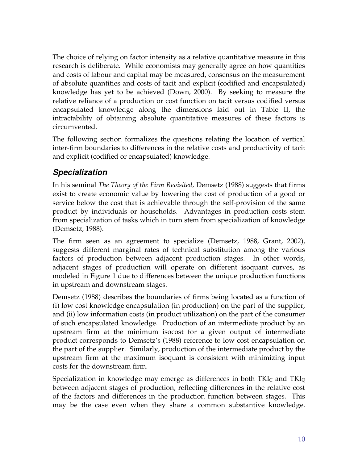The choice of relying on factor intensity as a relative quantitative measure in this research is deliberate. While economists may generally agree on how quantities and costs of labour and capital may be measured, consensus on the measurement of absolute quantities and costs of tacit and explicit (codified and encapsulated) knowledge has yet to be achieved (Down, 2000). By seeking to measure the relative reliance of a production or cost function on tacit versus codified versus encapsulated knowledge along the dimensions laid out in Table II, the intractability of obtaining absolute quantitative measures of these factors is circumvented.

The following section formalizes the questions relating the location of vertical inter-firm boundaries to differences in the relative costs and productivity of tacit and explicit (codified or encapsulated) knowledge.

#### *Specialization*

In his seminal *The Theory of the Firm Revisited*, Demsetz (1988) suggests that firms exist to create economic value by lowering the cost of production of a good or service below the cost that is achievable through the self-provision of the same product by individuals or households. Advantages in production costs stem from specialization of tasks which in turn stem from specialization of knowledge (Demsetz, 1988).

The firm seen as an agreement to specialize (Demsetz, 1988, Grant, 2002), suggests different marginal rates of technical substitution among the various factors of production between adjacent production stages. In other words, adjacent stages of production will operate on different isoquant curves, as modeled in Figure 1 due to differences between the unique production functions in upstream and downstream stages.

Demsetz (1988) describes the boundaries of firms being located as a function of (i) low cost knowledge encapsulation (in production) on the part of the supplier, and (ii) low information costs (in product utilization) on the part of the consumer of such encapsulated knowledge. Production of an intermediate product by an upstream firm at the minimum isocost for a given output of intermediate product corresponds to Demsetz's (1988) reference to low cost encapsulation on the part of the supplier. Similarly, production of the intermediate product by the upstream firm at the maximum isoquant is consistent with minimizing input costs for the downstream firm.

Specialization in knowledge may emerge as differences in both TKI $_{\rm C}$  and TKI $_{\rm Q}$ between adjacent stages of production, reflecting differences in the relative cost of the factors and differences in the production function between stages. This may be the case even when they share a common substantive knowledge.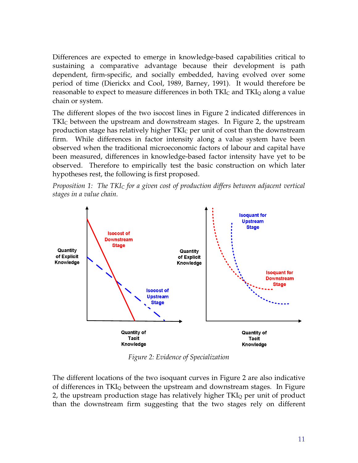Differences are expected to emerge in knowledge-based capabilities critical to sustaining a comparative advantage because their development is path dependent, firm-specific, and socially embedded, having evolved over some period of time (Dierickx and Cool, 1989, Barney, 1991). It would therefore be reasonable to expect to measure differences in both TKI<sub>C</sub> and TKI<sub>Q</sub> along a value chain or system.

The different slopes of the two isocost lines in Figure 2 indicated differences in TKI<sub>C</sub> between the upstream and downstream stages. In Figure 2, the upstream production stage has relatively higher  $TKI<sub>C</sub>$  per unit of cost than the downstream firm. While differences in factor intensity along a value system have been observed when the traditional microeconomic factors of labour and capital have been measured, differences in knowledge-based factor intensity have yet to be observed. Therefore to empirically test the basic construction on which later hypotheses rest, the following is first proposed.

*Proposition 1: The TKIC for a given cost of production differs between adjacent vertical stages in a value chain.*



*Figure 2: Evidence of Specialization* 

The different locations of the two isoquant curves in Figure 2 are also indicative of differences in TKIQ between the upstream and downstream stages. In Figure 2, the upstream production stage has relatively higher  $TKI<sub>O</sub>$  per unit of product than the downstream firm suggesting that the two stages rely on different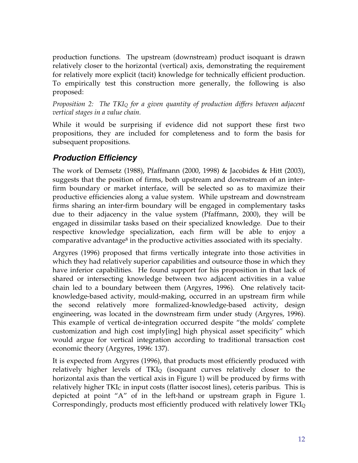production functions. The upstream (downstream) product isoquant is drawn relatively closer to the horizontal (vertical) axis, demonstrating the requirement for relatively more explicit (tacit) knowledge for technically efficient production. To empirically test this construction more generally, the following is also proposed:

*Proposition 2: The TKIQ for a given quantity of production differs between adjacent vertical stages in a value chain.* 

While it would be surprising if evidence did not support these first two propositions, they are included for completeness and to form the basis for subsequent propositions.

## *Production Efficiency*

The work of Demsetz (1988), Pfaffmann (2000, 1998) & Jacobides & Hitt (2003), suggests that the position of firms, both upstream and downstream of an interfirm boundary or market interface, will be selected so as to maximize their productive efficiencies along a value system. While upstream and downstream firms sharing an inter-firm boundary will be engaged in complementary tasks due to their adjacency in the value system (Pfaffmann, 2000), they will be engaged in dissimilar tasks based on their specialized knowledge. Due to their respective knowledge specialization, each firm will be able to enjoy a comparative advantage<sup>8</sup> in the productive activities associated with its specialty.

Argyres (1996) proposed that firms vertically integrate into those activities in which they had relatively superior capabilities and outsource those in which they have inferior capabilities. He found support for his proposition in that lack of shared or intersecting knowledge between two adjacent activities in a value chain led to a boundary between them (Argyres, 1996). One relatively tacitknowledge-based activity, mould-making, occurred in an upstream firm while the second relatively more formalized-knowledge-based activity, design engineering, was located in the downstream firm under study (Argyres, 1996). This example of vertical de-integration occurred despite "the molds' complete customization and high cost imply[ing] high physical asset specificity" which would argue for vertical integration according to traditional transaction cost economic theory (Argyres, 1996: 137).

It is expected from Argyres (1996), that products most efficiently produced with relatively higher levels of TKI<sub>Q</sub> (isoquant curves relatively closer to the horizontal axis than the vertical axis in Figure 1) will be produced by firms with relatively higher  $TKI<sub>C</sub>$  in input costs (flatter isocost lines), ceteris paribus. This is depicted at point "A" of in the left-hand or upstream graph in Figure 1. Correspondingly, products most efficiently produced with relatively lower  $TKI_Q$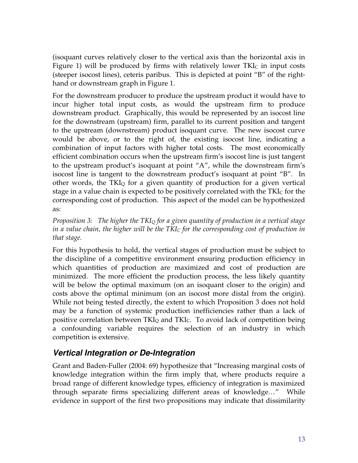(isoquant curves relatively closer to the vertical axis than the horizontal axis in Figure 1) will be produced by firms with relatively lower  $TKI<sub>C</sub>$  in input costs (steeper isocost lines), ceteris paribus. This is depicted at point "B" of the righthand or downstream graph in Figure 1.

For the downstream producer to produce the upstream product it would have to incur higher total input costs, as would the upstream firm to produce downstream product. Graphically, this would be represented by an isocost line for the downstream (upstream) firm, parallel to its current position and tangent to the upstream (downstream) product isoquant curve. The new isocost curve would be above, or to the right of, the existing isocost line, indicating a combination of input factors with higher total costs. The most economically efficient combination occurs when the upstream firm's isocost line is just tangent to the upstream product's isoquant at point "A", while the downstream firm's isocost line is tangent to the downstream product's isoquant at point "B". In other words, the  $TKI_Q$  for a given quantity of production for a given vertical stage in a value chain is expected to be positively correlated with the  $TKI<sub>C</sub>$  for the corresponding cost of production. This aspect of the model can be hypothesized as:

*Proposition 3: The higher the TKIQ for a given quantity of production in a vertical stage in a value chain, the higher will be the TKIC for the corresponding cost of production in that stage.*

For this hypothesis to hold, the vertical stages of production must be subject to the discipline of a competitive environment ensuring production efficiency in which quantities of production are maximized and cost of production are minimized. The more efficient the production process, the less likely quantity will be below the optimal maximum (on an isoquant closer to the origin) and costs above the optimal minimum (on an isocost more distal from the origin). While not being tested directly, the extent to which Proposition 3 does not hold may be a function of systemic production inefficiencies rather than a lack of positive correlation between  $TKI_Q$  and  $TKI_C$ . To avoid lack of competition being a confounding variable requires the selection of an industry in which competition is extensive.

## *Vertical Integration or De-Integration*

Grant and Baden-Fuller (2004: 69) hypothesize that "Increasing marginal costs of knowledge integration within the firm imply that, where products require a broad range of different knowledge types, efficiency of integration is maximized through separate firms specializing different areas of knowledge…" While evidence in support of the first two propositions may indicate that dissimilarity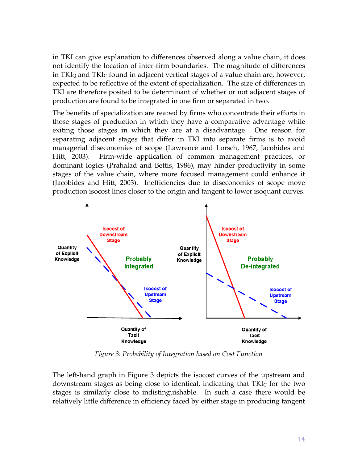in TKI can give explanation to differences observed along a value chain, it does not identify the location of inter-firm boundaries. The magnitude of differences in TKIQ and TKIC found in adjacent vertical stages of a value chain are, however, expected to be reflective of the extent of specialization. The size of differences in TKI are therefore posited to be determinant of whether or not adjacent stages of production are found to be integrated in one firm or separated in two.

The benefits of specialization are reaped by firms who concentrate their efforts in those stages of production in which they have a comparative advantage while exiting those stages in which they are at a disadvantage. One reason for separating adjacent stages that differ in TKI into separate firms is to avoid managerial diseconomies of scope (Lawrence and Lorsch, 1967, Jacobides and Hitt, 2003). Firm-wide application of common management practices, or dominant logics (Prahalad and Bettis, 1986), may hinder productivity in some stages of the value chain, where more focused management could enhance it (Jacobides and Hitt, 2003). Inefficiencies due to diseconomies of scope move production isocost lines closer to the origin and tangent to lower isoquant curves.



*Figure 3: Probability of Integration based on Cost Function* 

The left-hand graph in Figure 3 depicts the isocost curves of the upstream and downstream stages as being close to identical, indicating that  $TKI<sub>C</sub>$  for the two stages is similarly close to indistinguishable. In such a case there would be relatively little difference in efficiency faced by either stage in producing tangent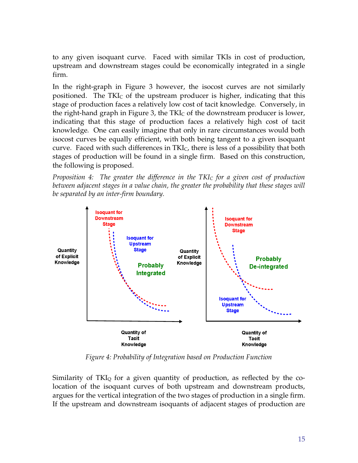to any given isoquant curve. Faced with similar TKIs in cost of production, upstream and downstream stages could be economically integrated in a single firm.

In the right-graph in Figure 3 however, the isocost curves are not similarly positioned. The TKIC of the upstream producer is higher, indicating that this stage of production faces a relatively low cost of tacit knowledge. Conversely, in the right-hand graph in Figure 3, the  $TKI<sub>C</sub>$  of the downstream producer is lower, indicating that this stage of production faces a relatively high cost of tacit knowledge. One can easily imagine that only in rare circumstances would both isocost curves be equally efficient, with both being tangent to a given isoquant curve. Faced with such differences in TKIC, there is less of a possibility that both stages of production will be found in a single firm. Based on this construction, the following is proposed.

*Proposition 4: The greater the difference in the TKIC for a given cost of production between adjacent stages in a value chain, the greater the probability that these stages will be separated by an inter-firm boundary.*



*Figure 4: Probability of Integration based on Production Function* 

Similarity of TKI $_{\rm Q}$  for a given quantity of production, as reflected by the colocation of the isoquant curves of both upstream and downstream products, argues for the vertical integration of the two stages of production in a single firm. If the upstream and downstream isoquants of adjacent stages of production are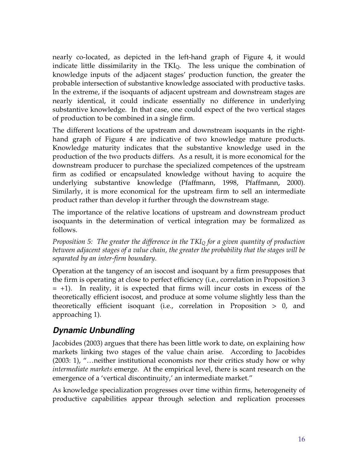nearly co-located, as depicted in the left-hand graph of Figure 4, it would indicate little dissimilarity in the TKIQ. The less unique the combination of knowledge inputs of the adjacent stages' production function, the greater the probable intersection of substantive knowledge associated with productive tasks. In the extreme, if the isoquants of adjacent upstream and downstream stages are nearly identical, it could indicate essentially no difference in underlying substantive knowledge. In that case, one could expect of the two vertical stages of production to be combined in a single firm.

The different locations of the upstream and downstream isoquants in the righthand graph of Figure 4 are indicative of two knowledge mature products. Knowledge maturity indicates that the substantive knowledge used in the production of the two products differs. As a result, it is more economical for the downstream producer to purchase the specialized competences of the upstream firm as codified or encapsulated knowledge without having to acquire the underlying substantive knowledge (Pfaffmann, 1998, Pfaffmann, 2000). Similarly, it is more economical for the upstream firm to sell an intermediate product rather than develop it further through the downstream stage.

The importance of the relative locations of upstream and downstream product isoquants in the determination of vertical integration may be formalized as follows.

*Proposition 5: The greater the difference in the TKIQ for a given quantity of production between adjacent stages of a value chain, the greater the probability that the stages will be separated by an inter-firm boundary.* 

Operation at the tangency of an isocost and isoquant by a firm presupposes that the firm is operating at close to perfect efficiency (i.e., correlation in Proposition 3  $= +1$ ). In reality, it is expected that firms will incur costs in excess of the theoretically efficient isocost, and produce at some volume slightly less than the theoretically efficient isoquant (i.e., correlation in Proposition > 0, and approaching 1).

## *Dynamic Unbundling*

Jacobides (2003) argues that there has been little work to date, on explaining how markets linking two stages of the value chain arise. According to Jacobides (2003: 1), "…neither institutional economists nor their critics study how or why *intermediate markets* emerge. At the empirical level, there is scant research on the emergence of a 'vertical discontinuity,' an intermediate market."

As knowledge specialization progresses over time within firms, heterogeneity of productive capabilities appear through selection and replication processes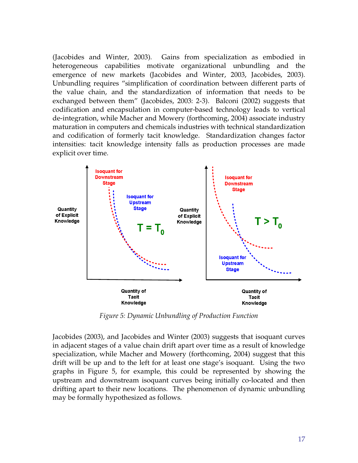(Jacobides and Winter, 2003). Gains from specialization as embodied in heterogeneous capabilities motivate organizational unbundling and the emergence of new markets (Jacobides and Winter, 2003, Jacobides, 2003). Unbundling requires "simplification of coordination between different parts of the value chain, and the standardization of information that needs to be exchanged between them" (Jacobides, 2003: 2-3). Balconi (2002) suggests that codification and encapsulation in computer-based technology leads to vertical de-integration, while Macher and Mowery (forthcoming, 2004) associate industry maturation in computers and chemicals industries with technical standardization and codification of formerly tacit knowledge. Standardization changes factor intensities: tacit knowledge intensity falls as production processes are made explicit over time.



*Figure 5: Dynamic Unbundling of Production Function* 

Jacobides (2003), and Jacobides and Winter (2003) suggests that isoquant curves in adjacent stages of a value chain drift apart over time as a result of knowledge specialization, while Macher and Mowery (forthcoming, 2004) suggest that this drift will be up and to the left for at least one stage's isoquant. Using the two graphs in Figure 5, for example, this could be represented by showing the upstream and downstream isoquant curves being initially co-located and then drifting apart to their new locations. The phenomenon of dynamic unbundling may be formally hypothesized as follows.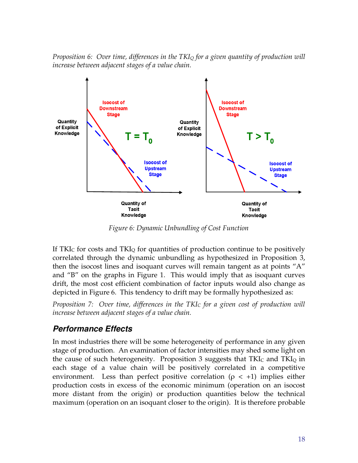*Proposition 6: Over time, differences in the TKIQ for a given quantity of production will increase between adjacent stages of a value chain.* 



*Figure 6: Dynamic Unbundling of Cost Function* 

If TKI<sub>C</sub> for costs and TKI<sub>Q</sub> for quantities of production continue to be positively correlated through the dynamic unbundling as hypothesized in Proposition 3, then the isocost lines and isoquant curves will remain tangent as at points "A" and "B" on the graphs in Figure 1. This would imply that as isoquant curves drift, the most cost efficient combination of factor inputs would also change as depicted in Figure 6. This tendency to drift may be formally hypothesized as:

*Proposition 7: Over time, differences in the TKIC for a given cost of production will increase between adjacent stages of a value chain.* 

#### *Performance Effects*

In most industries there will be some heterogeneity of performance in any given stage of production. An examination of factor intensities may shed some light on the cause of such heterogeneity. Proposition 3 suggests that  $TKI<sub>C</sub>$  and  $TKI<sub>Q</sub>$  in each stage of a value chain will be positively correlated in a competitive environment. Less than perfect positive correlation ( $\rho < +1$ ) implies either production costs in excess of the economic minimum (operation on an isocost more distant from the origin) or production quantities below the technical maximum (operation on an isoquant closer to the origin). It is therefore probable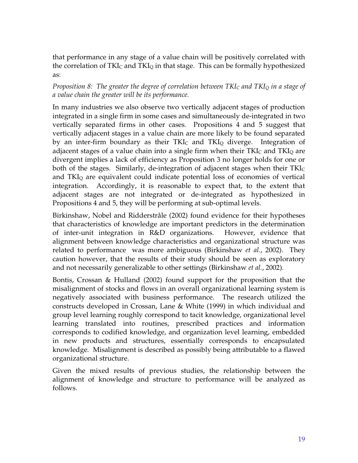that performance in any stage of a value chain will be positively correlated with the correlation of  $TKI_C$  and  $TKI_Q$  in that stage. This can be formally hypothesized as:

#### *Proposition 8: The greater the degree of correlation between TKIC and TKIQ in a stage of a value chain the greater will be its performance.*

In many industries we also observe two vertically adjacent stages of production integrated in a single firm in some cases and simultaneously de-integrated in two vertically separated firms in other cases. Propositions 4 and 5 suggest that vertically adjacent stages in a value chain are more likely to be found separated by an inter-firm boundary as their  $TKI<sub>C</sub>$  and  $TKI<sub>O</sub>$  diverge. Integration of adjacent stages of a value chain into a single firm when their  $TKI<sub>C</sub>$  and  $TKI<sub>Q</sub>$  are divergent implies a lack of efficiency as Proposition 3 no longer holds for one or both of the stages. Similarly, de-integration of adjacent stages when their  $TKI<sub>C</sub>$ and TKIQ are equivalent could indicate potential loss of economies of vertical integration. Accordingly, it is reasonable to expect that, to the extent that adjacent stages are not integrated or de-integrated as hypothesized in Propositions 4 and 5, they will be performing at sub-optimal levels.

Birkinshaw, Nobel and Ridderstråle (2002) found evidence for their hypotheses that characteristics of knowledge are important predictors in the determination of inter-unit integration in R&D organizations. However, evidence that alignment between knowledge characteristics and organizational structure was related to performance was more ambiguous (Birkinshaw *et al.*, 2002). They caution however, that the results of their study should be seen as exploratory and not necessarily generalizable to other settings (Birkinshaw *et al.*, 2002).

Bontis, Crossan & Hulland (2002) found support for the proposition that the misalignment of stocks and flows in an overall organizational learning system is negatively associated with business performance. The research utilized the constructs developed in Crossan, Lane & White (1999) in which individual and group level learning roughly correspond to tacit knowledge, organizational level learning translated into routines, prescribed practices and information corresponds to codified knowledge, and organization level learning, embedded in new products and structures, essentially corresponds to encapsulated knowledge. Misalignment is described as possibly being attributable to a flawed organizational structure.

Given the mixed results of previous studies, the relationship between the alignment of knowledge and structure to performance will be analyzed as follows.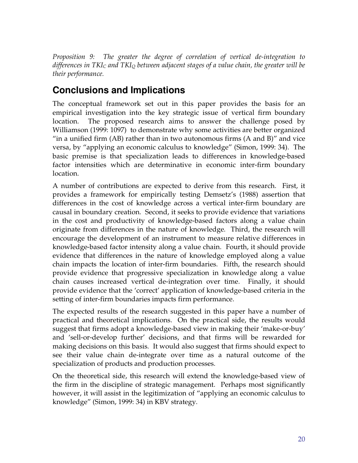*Proposition 9: The greater the degree of correlation of vertical de-integration to differences in TKIC and TKIQ between adjacent stages of a value chain, the greater will be their performance.* 

## **Conclusions and Implications**

The conceptual framework set out in this paper provides the basis for an empirical investigation into the key strategic issue of vertical firm boundary location. The proposed research aims to answer the challenge posed by Williamson (1999: 1097) to demonstrate why some activities are better organized "in a unified firm  $(AB)$  rather than in two autonomous firms  $(A \text{ and } B)$ " and vice versa, by "applying an economic calculus to knowledge" (Simon, 1999: 34). The basic premise is that specialization leads to differences in knowledge-based factor intensities which are determinative in economic inter-firm boundary location.

A number of contributions are expected to derive from this research. First, it provides a framework for empirically testing Demsetz's (1988) assertion that differences in the cost of knowledge across a vertical inter-firm boundary are causal in boundary creation. Second, it seeks to provide evidence that variations in the cost and productivity of knowledge-based factors along a value chain originate from differences in the nature of knowledge. Third, the research will encourage the development of an instrument to measure relative differences in knowledge-based factor intensity along a value chain. Fourth, it should provide evidence that differences in the nature of knowledge employed along a value chain impacts the location of inter-firm boundaries. Fifth, the research should provide evidence that progressive specialization in knowledge along a value chain causes increased vertical de-integration over time. Finally, it should provide evidence that the 'correct' application of knowledge-based criteria in the setting of inter-firm boundaries impacts firm performance.

The expected results of the research suggested in this paper have a number of practical and theoretical implications. On the practical side, the results would suggest that firms adopt a knowledge-based view in making their 'make-or-buy' and 'sell-or-develop further' decisions, and that firms will be rewarded for making decisions on this basis. It would also suggest that firms should expect to see their value chain de-integrate over time as a natural outcome of the specialization of products and production processes.

On the theoretical side, this research will extend the knowledge-based view of the firm in the discipline of strategic management. Perhaps most significantly however, it will assist in the legitimization of "applying an economic calculus to knowledge" (Simon, 1999: 34) in KBV strategy.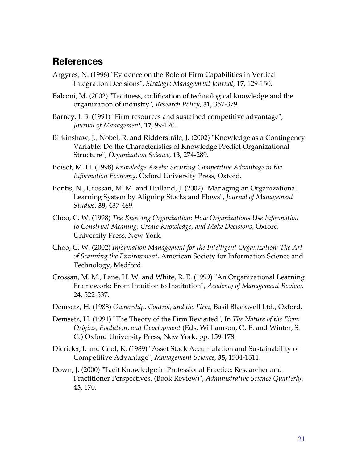#### **References**

- Argyres, N. (1996) "Evidence on the Role of Firm Capabilities in Vertical Integration Decisions", *Strategic Management Journal,* **17,** 129-150.
- Balconi, M. (2002) "Tacitness, codification of technological knowledge and the organization of industry", *Research Policy,* **31,** 357-379.
- Barney, J. B. (1991) "Firm resources and sustained competitive advantage", *Journal of Management,* **17,** 99-120.
- Birkinshaw, J., Nobel, R. and Ridderstråle, J. (2002) "Knowledge as a Contingency Variable: Do the Characteristics of Knowledge Predict Organizational Structure", *Organization Science,* **13,** 274-289.
- Boisot, M. H. (1998) *Knowledge Assets: Securing Competitive Advantage in the Information Economy,* Oxford University Press, Oxford.
- Bontis, N., Crossan, M. M. and Hulland, J. (2002) "Managing an Organizational Learning System by Aligning Stocks and Flows", *Journal of Management Studies,* **39,** 437-469.
- Choo, C. W. (1998) *The Knowing Organization: How Organizations Use Information to Construct Meaning, Create Knowledge, and Make Decisions,* Oxford University Press, New York.
- Choo, C. W. (2002) *Information Management for the Intelligent Organization: The Art of Scanning the Environment,* American Society for Information Science and Technology, Medford.
- Crossan, M. M., Lane, H. W. and White, R. E. (1999) "An Organizational Learning Framework: From Intuition to Institution", *Academy of Management Review,* **24,** 522-537.
- Demsetz, H. (1988) *Ownership, Control, and the Firm,* Basil Blackwell Ltd., Oxford.
- Demsetz, H. (1991) "The Theory of the Firm Revisited", In *The Nature of the Firm: Origins, Evolution, and Development* (Eds, Williamson, O. E. and Winter, S. G.) Oxford University Press, New York, pp. 159-178.
- Dierickx, I. and Cool, K. (1989) "Asset Stock Accumulation and Sustainability of Competitive Advantage", *Management Science,* **35,** 1504-1511.
- Down, J. (2000) "Tacit Knowledge in Professional Practice: Researcher and Practitioner Perspectives. (Book Review)", *Administrative Science Quarterly,* **45,** 170.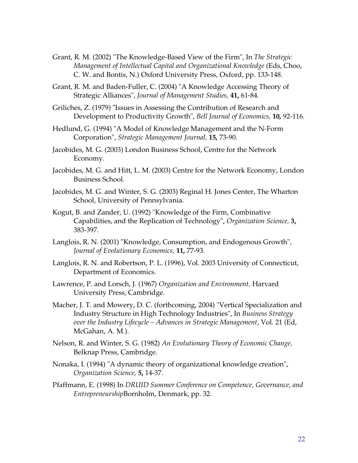- Grant, R. M. (2002) "The Knowledge-Based View of the Firm", In *The Strategic Management of Intellectual Capital and Organizational Knowledge* (Eds, Choo, C. W. and Bontis, N.) Oxford University Press, Oxford, pp. 133-148.
- Grant, R. M. and Baden-Fuller, C. (2004) "A Knowledge Accessing Theory of Strategic Alliances", *Journal of Management Studies,* **41,** 61-84.
- Griliches, Z. (1979) "Issues in Assessing the Contribution of Research and Development to Productivity Growth", *Bell Journal of Economics,* **10,** 92-116.
- Hedlund, G. (1994) "A Model of Knowledge Management and the N-Form Corporation", *Strategic Management Journal,* **15,** 73-90.
- Jacobides, M. G. (2003) London Business School, Centre for the Network Economy.
- Jacobides, M. G. and Hitt, L. M. (2003) Centre for the Network Economy, London Business School.
- Jacobides, M. G. and Winter, S. G. (2003) Reginal H. Jones Center, The Wharton School, University of Pennsylvania.
- Kogut, B. and Zander, U. (1992) "Knowledge of the Firm, Combinative Capabilities, and the Replication of Technology", *Organization Science,* **3,** 383-397.
- Langlois, R. N. (2001) "Knowledge, Consumption, and Endogenous Growth", *Journal of Evolutionary Economics,* **11,** 77-93.
- Langlois, R. N. and Robertson, P. L. (1996), Vol. 2003 University of Connecticut, Department of Economics.
- Lawrence, P. and Lorsch, J. (1967) *Organization and Environment,* Harvard University Press, Cambridge.
- Macher, J. T. and Mowery, D. C. (forthcoming, 2004) "Vertical Specialization and Industry Structure in High Technology Industries", In *Business Strategy over the Industry Lifecycle – Advances in Strategic Management*, Vol. 21 (Ed, McGahan, A. M.).
- Nelson, R. and Winter, S. G. (1982) *An Evolutionary Theory of Economic Change,*  Belknap Press, Cambridge.
- Nonaka, I. (1994) "A dynamic theory of organizational knowledge creation", *Organization Science,* **5,** 14-37.
- Pfaffmann, E. (1998) In *DRUID Summer Conference on Competence, Governance, and Entrepreneurship*Bornholm, Denmark, pp. 32.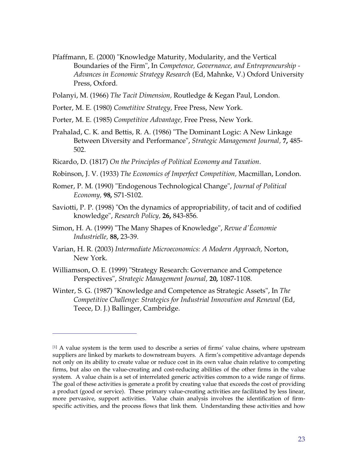- Pfaffmann, E. (2000) "Knowledge Maturity, Modularity, and the Vertical Boundaries of the Firm", In *Competence, Governance, and Entrepreneurship - Advances in Economic Strategy Research* (Ed, Mahnke, V.) Oxford University Press, Oxford.
- Polanyi, M. (1966) *The Tacit Dimension,* Routledge & Kegan Paul, London.
- Porter, M. E. (1980) *Cometitive Strategy,* Free Press, New York.
- Porter, M. E. (1985) *Competitive Advantage,* Free Press, New York.
- Prahalad, C. K. and Bettis, R. A. (1986) "The Dominant Logic: A New Linkage Between Diversity and Performance", *Strategic Management Journal,* **7,** 485- 502.
- Ricardo, D. (1817) *On the Principles of Political Economy and Taxation*.
- Robinson, J. V. (1933) *The Economics of Imperfect Competition,* Macmillan, London.
- Romer, P. M. (1990) "Endogenous Technological Change", *Journal of Political Economy,* **98,** S71-S102.
- Saviotti, P. P. (1998) "On the dynamics of appropriability, of tacit and of codified knowledge", *Research Policy,* **26,** 843-856.
- Simon, H. A. (1999) "The Many Shapes of Knowledge", *Revue d'Économie Industrielle,* **88,** 23-39.
- Varian, H. R. (2003) *Intermediate Microeconomics: A Modern Approach,* Norton, New York.
- Williamson, O. E. (1999) "Strategy Research: Governance and Competence Perspectives", *Strategic Management Journal,* **20,** 1087-1108.

 $\overline{a}$ 

Winter, S. G. (1987) "Knowledge and Competence as Strategic Assets", In *The Competitive Challenge: Strategics for Industrial Innovation and Renewal* (Ed, Teece, D. J.) Ballinger, Cambridge.

<sup>[1]</sup> A value system is the term used to describe a series of firms' value chains, where upstream suppliers are linked by markets to downstream buyers. A firm's competitive advantage depends not only on its ability to create value or reduce cost in its own value chain relative to competing firms, but also on the value-creating and cost-reducing abilities of the other firms in the value system. A value chain is a set of interrelated generic activities common to a wide range of firms. The goal of these activities is generate a profit by creating value that exceeds the cost of providing a product (good or service). These primary value-creating activities are facilitated by less linear, more pervasive, support activities. Value chain analysis involves the identification of firmspecific activities, and the process flows that link them. Understanding these activities and how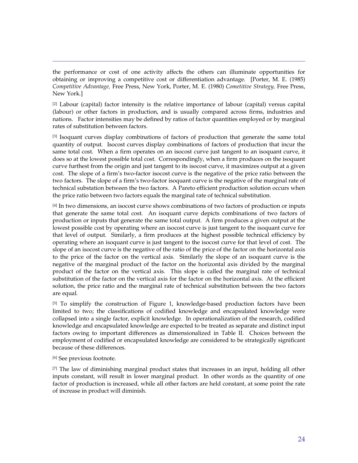the performance or cost of one activity affects the others can illuminate opportunities for obtaining or improving a competitive cost or differentiation advantage. [Porter, M. E. (1985) *Competitive Advantage,* Free Press, New York, Porter, M. E. (1980) *Cometitive Strategy,* Free Press, New York.]

 $[2]$  Labour (capital) factor intensity is the relative importance of labour (capital) versus capital (labour) or other factors in production, and is usually compared across firms, industries and nations. Factor intensities may be defined by ratios of factor quantities employed or by marginal rates of substitution between factors.

[3] Isoquant curves display combinations of factors of production that generate the same total quantity of output. Isocost curves display combinations of factors of production that incur the same total cost. When a firm operates on an isocost curve just tangent to an isoquant curve, it does so at the lowest possible total cost. Correspondingly, when a firm produces on the isoquant curve furthest from the origin and just tangent to its isocost curve, it maximizes output at a given cost. The slope of a firm's two-factor isocost curve is the negative of the price ratio between the two factors. The slope of a firm's two-factor isoquant curve is the negative of the marginal rate of technical substation between the two factors. A Pareto efficient production solution occurs when the price ratio between two factors equals the marginal rate of technical substitution.

[4] In two dimensions, an isocost curve shows combinations of two factors of production or inputs that generate the same total cost. An isoquant curve depicts combinations of two factors of production or inputs that generate the same total output. A firm produces a given output at the lowest possible cost by operating where an isocost curve is just tangent to the isoquant curve for that level of output. Similarly, a firm produces at the highest possible technical efficiency by operating where an isoquant curve is just tangent to the isocost curve for that level of cost. The slope of an isocost curve is the negative of the ratio of the price of the factor on the horizontal axis to the price of the factor on the vertical axis. Similarly the slope of an isoquant curve is the negative of the marginal product of the factor on the horizontal axis divided by the marginal product of the factor on the vertical axis. This slope is called the marginal rate of technical substitution of the factor on the vertical axis for the factor on the horizontal axis. At the efficient solution, the price ratio and the marginal rate of technical substitution between the two factors are equal.

[5] To simplify the construction of Figure 1, knowledge-based production factors have been limited to two; the classifications of codified knowledge and encapsulated knowledge were collapsed into a single factor, explicit knowledge. In operationalization of the research, codified knowledge and encapsulated knowledge are expected to be treated as separate and distinct input factors owing to important differences as dimensionalized in Table II. Choices between the employment of codified or encapsulated knowledge are considered to be strategically significant because of these differences.

[6] See previous footnote.

 $\overline{a}$ 

 $[7]$  The law of diminishing marginal product states that increases in an input, holding all other inputs constant, will result in lower marginal product. In other words as the quantity of one factor of production is increased, while all other factors are held constant, at some point the rate of increase in product will diminish.